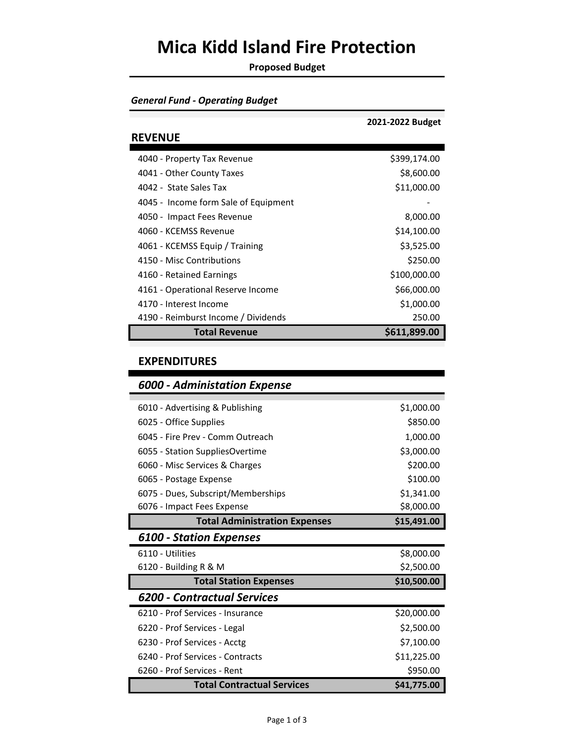### **Mica Kidd Island Fire Protection**

**Proposed Budget**

### *General Fund - Operating Budget*

|                                      | 2021-2022 Budget |
|--------------------------------------|------------------|
| <b>REVENUE</b>                       |                  |
| 4040 - Property Tax Revenue          | \$399,174.00     |
| 4041 - Other County Taxes            | \$8,600.00       |
| 4042 - State Sales Tax               | \$11,000.00      |
| 4045 - Income form Sale of Equipment |                  |
| 4050 - Impact Fees Revenue           | 8,000.00         |
| 4060 - KCEMSS Revenue                | \$14,100.00      |
| 4061 - KCEMSS Equip / Training       | \$3,525.00       |
| 4150 - Misc Contributions            | \$250.00         |
| 4160 - Retained Earnings             | \$100,000.00     |
| 4161 - Operational Reserve Income    | \$66,000.00      |
| 4170 - Interest Income               | \$1,000.00       |
| 4190 - Reimburst Income / Dividends  | 250.00           |
| <b>Total Revenue</b>                 | \$611,899.00     |

#### **EXPENDITURES**

| <b>6000 - Administation Expense</b>  |             |
|--------------------------------------|-------------|
| 6010 - Advertising & Publishing      | \$1,000.00  |
| 6025 - Office Supplies               | \$850.00    |
| 6045 - Fire Prev - Comm Outreach     | 1,000.00    |
| 6055 - Station SuppliesOvertime      | \$3,000.00  |
| 6060 - Misc Services & Charges       | \$200.00    |
| 6065 - Postage Expense               | \$100.00    |
| 6075 - Dues, Subscript/Memberships   | \$1,341.00  |
| 6076 - Impact Fees Expense           | \$8,000.00  |
| <b>Total Administration Expenses</b> | \$15,491.00 |
| <b>6100 - Station Expenses</b>       |             |
| 6110 - Utilities                     | \$8,000.00  |
| 6120 - Building R & M                | \$2,500.00  |
| <b>Total Station Expenses</b>        | \$10,500.00 |
| 6200 - Contractual Services          |             |
| 6210 - Prof Services - Insurance     | \$20,000.00 |
| 6220 - Prof Services - Legal         | \$2,500.00  |
| 6230 - Prof Services - Acctg         | \$7,100.00  |
| 6240 - Prof Services - Contracts     | \$11,225.00 |
| 6260 - Prof Services - Rent          | \$950.00    |
| <b>Total Contractual Services</b>    | \$41,775.00 |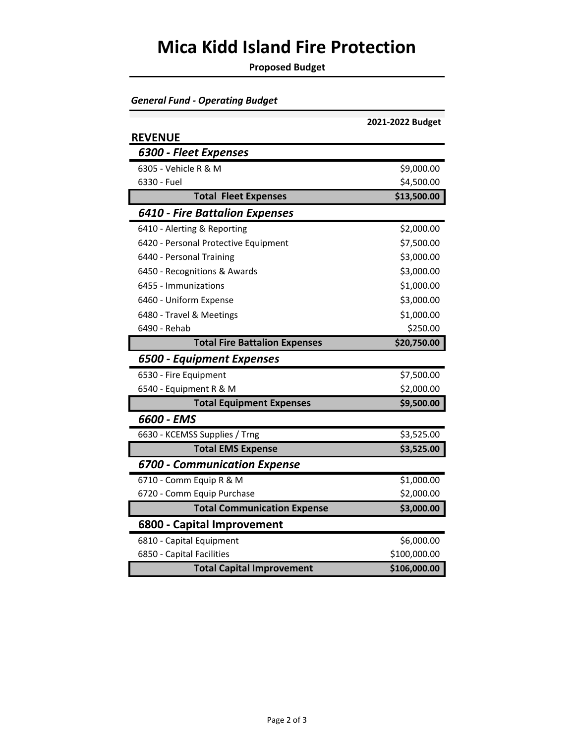# **Mica Kidd Island Fire Protection**

**Proposed Budget**

| <b>General Fund - Operating Budget</b> |  |
|----------------------------------------|--|
|----------------------------------------|--|

|                                      | 2021-2022 Budget |
|--------------------------------------|------------------|
| <b>REVENUE</b>                       |                  |
| 6300 - Fleet Expenses                |                  |
| 6305 - Vehicle R & M                 | \$9,000.00       |
| 6330 - Fuel                          | \$4,500.00       |
| <b>Total Fleet Expenses</b>          | \$13,500.00      |
| 6410 - Fire Battalion Expenses       |                  |
| 6410 - Alerting & Reporting          | \$2,000.00       |
| 6420 - Personal Protective Equipment | \$7,500.00       |
| 6440 - Personal Training             | \$3,000.00       |
| 6450 - Recognitions & Awards         | \$3,000.00       |
| 6455 - Immunizations                 | \$1,000.00       |
| 6460 - Uniform Expense               | \$3,000.00       |
| 6480 - Travel & Meetings             | \$1,000.00       |
| 6490 - Rehab                         | \$250.00         |
| <b>Total Fire Battalion Expenses</b> | \$20,750.00      |
| 6500 - Equipment Expenses            |                  |
| 6530 - Fire Equipment                | \$7,500.00       |
| 6540 - Equipment R & M               | \$2,000.00       |
| <b>Total Equipment Expenses</b>      | \$9,500.00       |
| 6600 - EMS                           |                  |
| 6630 - KCEMSS Supplies / Trng        | \$3,525.00       |
| <b>Total EMS Expense</b>             | \$3,525.00       |
| <b>6700 - Communication Expense</b>  |                  |
| 6710 - Comm Equip R & M              | \$1,000.00       |
| 6720 - Comm Equip Purchase           | \$2,000.00       |
| <b>Total Communication Expense</b>   | \$3,000.00       |
| 6800 - Capital Improvement           |                  |
| 6810 - Capital Equipment             | \$6,000.00       |
| 6850 - Capital Facilities            | \$100,000.00     |
| <b>Total Capital Improvement</b>     | \$106,000.00     |